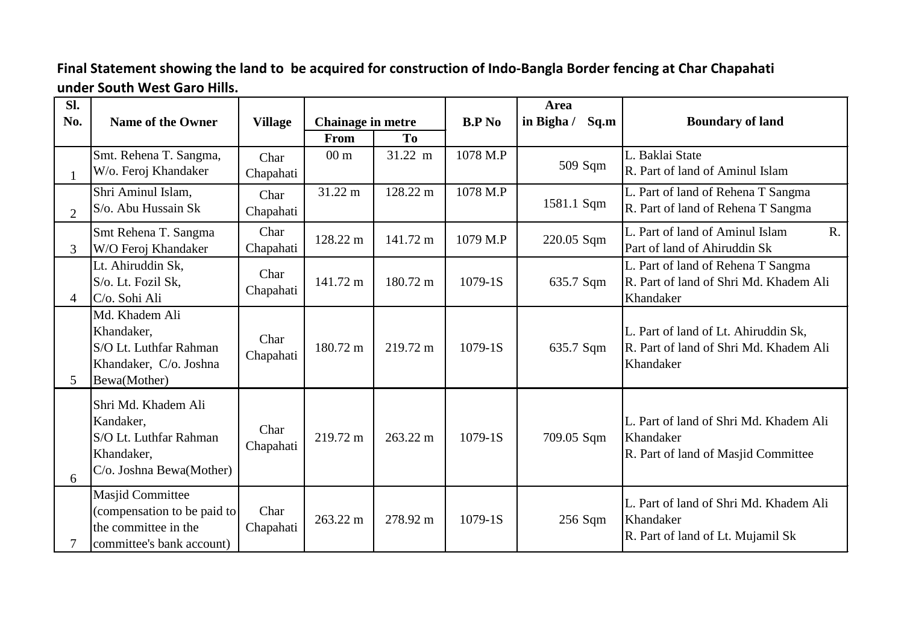## **Final Statement showing the land to be acquired for construction of Indo-Bangla Border fencing at Char Chapahati under South West Garo Hills.**

| Sl.            |                                                                                                      |                   |                                  |          |               | Area               |                                                                                             |
|----------------|------------------------------------------------------------------------------------------------------|-------------------|----------------------------------|----------|---------------|--------------------|---------------------------------------------------------------------------------------------|
| No.            | <b>Name of the Owner</b>                                                                             | <b>Village</b>    | <b>Chainage in metre</b><br>From | To       | <b>B.P No</b> | in Bigha /<br>Sq.m | <b>Boundary of land</b>                                                                     |
|                | Smt. Rehena T. Sangma,<br>W/o. Feroj Khandaker                                                       | Char<br>Chapahati | 00 <sub>m</sub>                  | 31.22 m  | 1078 M.P      | 509 Sqm            | L. Baklai State<br>R. Part of land of Aminul Islam                                          |
| $\overline{2}$ | Shri Aminul Islam,<br>S/o. Abu Hussain Sk                                                            | Char<br>Chapahati | 31.22 m                          | 128.22 m | 1078 M.P      | 1581.1 Sqm         | L. Part of land of Rehena T Sangma<br>R. Part of land of Rehena T Sangma                    |
| 3              | Smt Rehena T. Sangma<br>W/O Feroj Khandaker                                                          | Char<br>Chapahati | 128.22 m                         | 141.72 m | 1079 M.P      | 220.05 Sqm         | L. Part of land of Aminul Islam<br>$R_{\cdot}$<br>Part of land of Ahiruddin Sk              |
| $\overline{4}$ | Lt. Ahiruddin Sk,<br>S/o. Lt. Fozil Sk,<br>C/o. Sohi Ali                                             | Char<br>Chapahati | 141.72 m                         | 180.72 m | 1079-1S       | 635.7 Sqm          | L. Part of land of Rehena T Sangma<br>R. Part of land of Shri Md. Khadem Ali<br>Khandaker   |
| 5              | Md. Khadem Ali<br>Khandaker,<br>S/O Lt. Luthfar Rahman<br>Khandaker, C/o. Joshna<br>Bewa(Mother)     | Char<br>Chapahati | 180.72 m                         | 219.72 m | $1079-1S$     | 635.7 Sqm          | L. Part of land of Lt. Ahiruddin Sk,<br>R. Part of land of Shri Md. Khadem Ali<br>Khandaker |
| 6              | Shri Md. Khadem Ali<br>Kandaker,<br>S/O Lt. Luthfar Rahman<br>Khandaker,<br>C/o. Joshna Bewa(Mother) | Char<br>Chapahati | 219.72 m                         | 263.22 m | $1079-1S$     | 709.05 Sqm         | L. Part of land of Shri Md. Khadem Ali<br>Khandaker<br>R. Part of land of Masjid Committee  |
|                | Masjid Committee<br>(compensation to be paid to<br>the committee in the<br>committee's bank account) | Char<br>Chapahati | 263.22 m                         | 278.92 m | $1079-1S$     | $256$ Sqm          | L. Part of land of Shri Md. Khadem Ali<br>Khandaker<br>R. Part of land of Lt. Mujamil Sk    |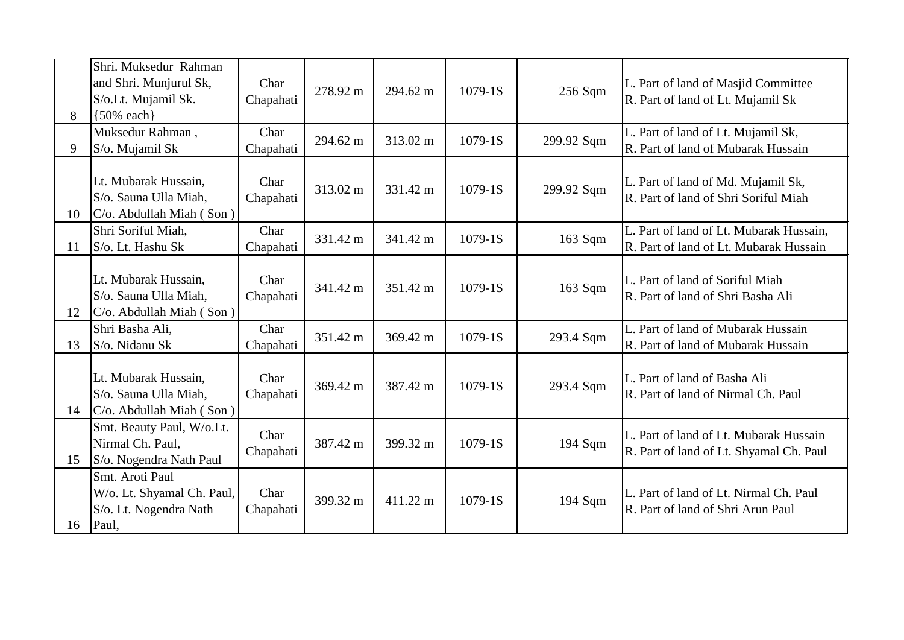|    | Shri. Muksedur Rahman                                                            |                   |          |          |           |            |                                                                                   |
|----|----------------------------------------------------------------------------------|-------------------|----------|----------|-----------|------------|-----------------------------------------------------------------------------------|
|    | and Shri. Munjurul Sk,<br>S/o.Lt. Mujamil Sk.                                    | Char<br>Chapahati | 278.92 m | 294.62 m | 1079-1S   | 256 Sqm    | L. Part of land of Masjid Committee<br>R. Part of land of Lt. Mujamil Sk          |
| 8  | ${50\%}$ each}                                                                   |                   |          |          |           |            |                                                                                   |
| 9  | Muksedur Rahman,<br>S/o. Mujamil Sk                                              | Char<br>Chapahati | 294.62 m | 313.02 m | 1079-1S   | 299.92 Sqm | L. Part of land of Lt. Mujamil Sk,<br>R. Part of land of Mubarak Hussain          |
| 10 | Lt. Mubarak Hussain,<br>S/o. Sauna Ulla Miah,<br>$C/O$ . Abdullah Miah (Son)     | Char<br>Chapahati | 313.02 m | 331.42 m | 1079-1S   | 299.92 Sqm | L. Part of land of Md. Mujamil Sk,<br>R. Part of land of Shri Soriful Miah        |
| 11 | Shri Soriful Miah,<br>S/o. Lt. Hashu Sk                                          | Char<br>Chapahati | 331.42 m | 341.42 m | 1079-1S   | 163 Sqm    | L. Part of land of Lt. Mubarak Hussain,<br>R. Part of land of Lt. Mubarak Hussain |
| 12 | Lt. Mubarak Hussain,<br>S/o. Sauna Ulla Miah,<br>C/o. Abdullah Miah (Son)        | Char<br>Chapahati | 341.42 m | 351.42 m | 1079-1S   | 163 Sqm    | L. Part of land of Soriful Miah<br>R. Part of land of Shri Basha Ali              |
| 13 | Shri Basha Ali,<br>S/o. Nidanu Sk                                                | Char<br>Chapahati | 351.42 m | 369.42 m | $1079-1S$ | 293.4 Sqm  | L. Part of land of Mubarak Hussain<br>R. Part of land of Mubarak Hussain          |
| 14 | Lt. Mubarak Hussain,<br>S/o. Sauna Ulla Miah,<br>C/o. Abdullah Miah (Son)        | Char<br>Chapahati | 369.42 m | 387.42 m | 1079-1S   | 293.4 Sqm  | L. Part of land of Basha Ali<br>R. Part of land of Nirmal Ch. Paul                |
| 15 | Smt. Beauty Paul, W/o.Lt.<br>Nirmal Ch. Paul,<br>S/o. Nogendra Nath Paul         | Char<br>Chapahati | 387.42 m | 399.32 m | 1079-1S   | 194 Sqm    | L. Part of land of Lt. Mubarak Hussain<br>R. Part of land of Lt. Shyamal Ch. Paul |
| 16 | Smt. Aroti Paul<br>W/o. Lt. Shyamal Ch. Paul,<br>S/o. Lt. Nogendra Nath<br>Paul, | Char<br>Chapahati | 399.32 m | 411.22 m | 1079-1S   | 194 Sqm    | L. Part of land of Lt. Nirmal Ch. Paul<br>R. Part of land of Shri Arun Paul       |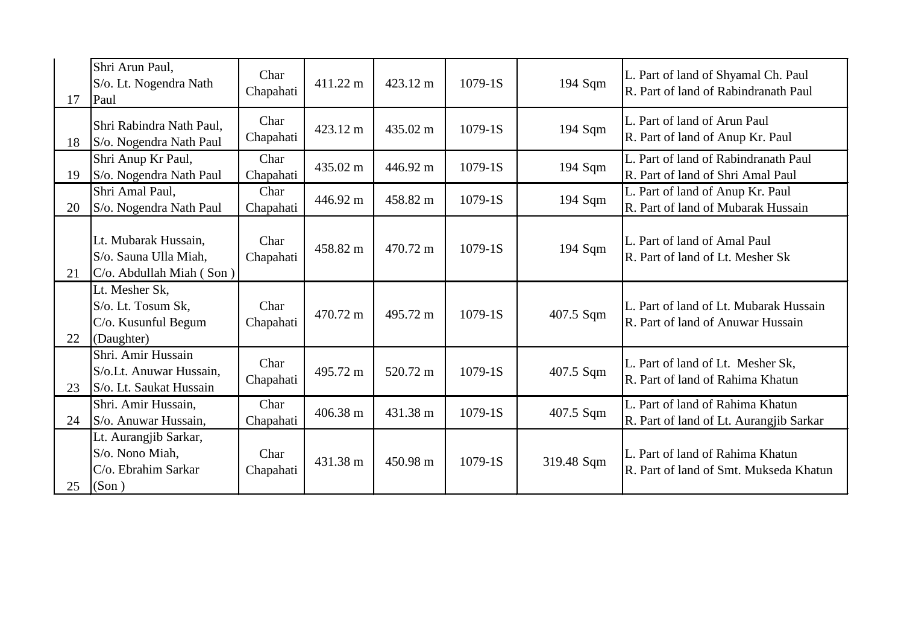| 17 | Shri Arun Paul,<br>S/o. Lt. Nogendra Nath<br>Paul                         | Char<br>Chapahati | 411.22 m | 423.12 m | 1079-1S   | 194 Sqm    | L. Part of land of Shyamal Ch. Paul<br>R. Part of land of Rabindranath Paul |
|----|---------------------------------------------------------------------------|-------------------|----------|----------|-----------|------------|-----------------------------------------------------------------------------|
| 18 | Shri Rabindra Nath Paul.<br>S/o. Nogendra Nath Paul                       | Char<br>Chapahati | 423.12 m | 435.02 m | 1079-1S   | 194 Sqm    | L. Part of land of Arun Paul<br>R. Part of land of Anup Kr. Paul            |
| 19 | Shri Anup Kr Paul,<br>S/o. Nogendra Nath Paul                             | Char<br>Chapahati | 435.02 m | 446.92 m | 1079-1S   | 194 Sqm    | L. Part of land of Rabindranath Paul<br>R. Part of land of Shri Amal Paul   |
| 20 | Shri Amal Paul,<br>S/o. Nogendra Nath Paul                                | Char<br>Chapahati | 446.92 m | 458.82 m | 1079-1S   | 194 Sqm    | L. Part of land of Anup Kr. Paul<br>R. Part of land of Mubarak Hussain      |
| 21 | Lt. Mubarak Hussain,<br>S/o. Sauna Ulla Miah,<br>C/o. Abdullah Miah (Son) | Char<br>Chapahati | 458.82 m | 470.72 m | 1079-1S   | 194 Sqm    | L. Part of land of Amal Paul<br>R. Part of land of Lt. Mesher Sk            |
| 22 | Lt. Mesher Sk,<br>S/o. Lt. Tosum Sk,<br>C/o. Kusunful Begum<br>(Daughter) | Char<br>Chapahati | 470.72 m | 495.72 m | $1079-1S$ | 407.5 Sqm  | L. Part of land of Lt. Mubarak Hussain<br>R. Part of land of Anuwar Hussain |
| 23 | Shri. Amir Hussain<br>S/o.Lt. Anuwar Hussain,<br>S/o. Lt. Saukat Hussain  | Char<br>Chapahati | 495.72 m | 520.72 m | 1079-1S   | 407.5 Sqm  | L. Part of land of Lt. Mesher Sk,<br>R. Part of land of Rahima Khatun       |
| 24 | Shri. Amir Hussain,<br>S/o. Anuwar Hussain,                               | Char<br>Chapahati | 406.38 m | 431.38 m | 1079-1S   | 407.5 Sqm  | L. Part of land of Rahima Khatun<br>R. Part of land of Lt. Aurangjib Sarkar |
| 25 | Lt. Aurangjib Sarkar,<br>S/o. Nono Miah,<br>C/o. Ebrahim Sarkar<br>(Son)  | Char<br>Chapahati | 431.38 m | 450.98 m | 1079-1S   | 319.48 Sqm | L. Part of land of Rahima Khatun<br>R. Part of land of Smt. Mukseda Khatun  |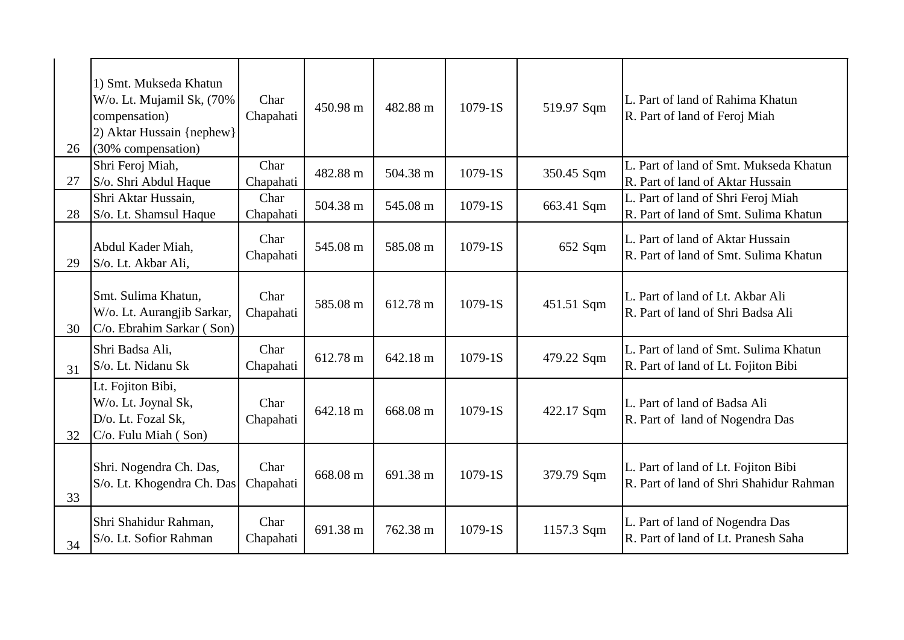| 26 | 1) Smt. Mukseda Khatun<br>W/o. Lt. Mujamil Sk, (70%<br>compensation)<br>2) Aktar Hussain {nephew}<br>(30% compensation) | Char<br>Chapahati | 450.98 m | 482.88 m | $1079-1S$ | 519.97 Sqm | L. Part of land of Rahima Khatun<br>R. Part of land of Feroj Miah              |
|----|-------------------------------------------------------------------------------------------------------------------------|-------------------|----------|----------|-----------|------------|--------------------------------------------------------------------------------|
| 27 | Shri Feroj Miah,<br>S/o. Shri Abdul Haque                                                                               | Char<br>Chapahati | 482.88 m | 504.38 m | 1079-1S   | 350.45 Sqm | L. Part of land of Smt. Mukseda Khatun<br>R. Part of land of Aktar Hussain     |
| 28 | Shri Aktar Hussain,<br>S/o. Lt. Shamsul Haque                                                                           | Char<br>Chapahati | 504.38 m | 545.08 m | 1079-1S   | 663.41 Sqm | L. Part of land of Shri Feroj Miah<br>R. Part of land of Smt. Sulima Khatun    |
| 29 | Abdul Kader Miah,<br>S/o. Lt. Akbar Ali,                                                                                | Char<br>Chapahati | 545.08 m | 585.08 m | 1079-1S   | 652 Sqm    | L. Part of land of Aktar Hussain<br>R. Part of land of Smt. Sulima Khatun      |
| 30 | Smt. Sulima Khatun,<br>W/o. Lt. Aurangjib Sarkar,<br>C/o. Ebrahim Sarkar (Son)                                          | Char<br>Chapahati | 585.08 m | 612.78 m | 1079-1S   | 451.51 Sqm | L. Part of land of Lt. Akbar Ali<br>R. Part of land of Shri Badsa Ali          |
| 31 | Shri Badsa Ali,<br>S/o. Lt. Nidanu Sk                                                                                   | Char<br>Chapahati | 612.78 m | 642.18 m | 1079-1S   | 479.22 Sqm | L. Part of land of Smt. Sulima Khatun<br>R. Part of land of Lt. Fojiton Bibi   |
| 32 | Lt. Fojiton Bibi,<br>W/o. Lt. Joynal Sk,<br>D/o. Lt. Fozal Sk,<br>C/o. Fulu Miah (Son)                                  | Char<br>Chapahati | 642.18 m | 668.08 m | 1079-1S   | 422.17 Sqm | L. Part of land of Badsa Ali<br>R. Part of land of Nogendra Das                |
| 33 | Shri. Nogendra Ch. Das,<br>S/o. Lt. Khogendra Ch. Das                                                                   | Char<br>Chapahati | 668.08 m | 691.38 m | 1079-1S   | 379.79 Sqm | L. Part of land of Lt. Fojiton Bibi<br>R. Part of land of Shri Shahidur Rahman |
| 34 | Shri Shahidur Rahman,<br>S/o. Lt. Sofior Rahman                                                                         | Char<br>Chapahati | 691.38 m | 762.38 m | 1079-1S   | 1157.3 Sqm | L. Part of land of Nogendra Das<br>R. Part of land of Lt. Pranesh Saha         |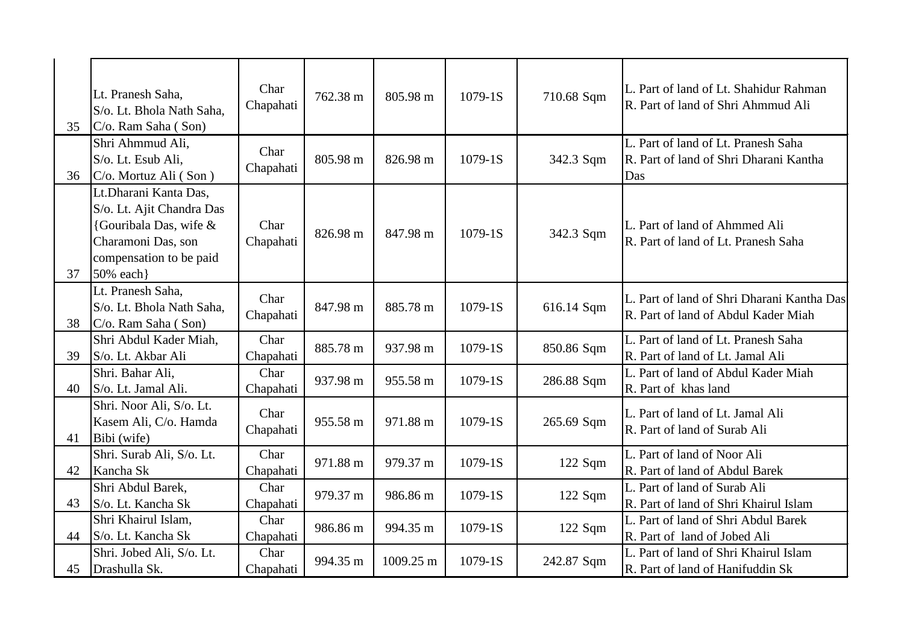|    | Lt. Pranesh Saha,<br>S/o. Lt. Bhola Nath Saha,                                                                                             | Char<br>Chapahati | 762.38 m | 805.98 m  | 1079-1S | 710.68 Sqm | L. Part of land of Lt. Shahidur Rahman<br>R. Part of land of Shri Ahmmud Ali         |
|----|--------------------------------------------------------------------------------------------------------------------------------------------|-------------------|----------|-----------|---------|------------|--------------------------------------------------------------------------------------|
| 35 | C/o. Ram Saha (Son)                                                                                                                        |                   |          |           |         |            |                                                                                      |
| 36 | Shri Ahmmud Ali,<br>S/o. Lt. Esub Ali,<br>C/o. Mortuz Ali (Son)                                                                            | Char<br>Chapahati | 805.98 m | 826.98 m  | 1079-1S | 342.3 Sqm  | L. Part of land of Lt. Pranesh Saha<br>R. Part of land of Shri Dharani Kantha<br>Das |
| 37 | Lt.Dharani Kanta Das,<br>S/o. Lt. Ajit Chandra Das<br>{Gouribala Das, wife &<br>Charamoni Das, son<br>compensation to be paid<br>50% each} | Char<br>Chapahati | 826.98 m | 847.98 m  | 1079-1S | 342.3 Sqm  | L. Part of land of Ahmmed Ali<br>R. Part of land of Lt. Pranesh Saha                 |
| 38 | Lt. Pranesh Saha,<br>S/o. Lt. Bhola Nath Saha.<br>C/o. Ram Saha (Son)                                                                      | Char<br>Chapahati | 847.98 m | 885.78 m  | 1079-1S | 616.14 Sqm | L. Part of land of Shri Dharani Kantha Das<br>R. Part of land of Abdul Kader Miah    |
| 39 | Shri Abdul Kader Miah,<br>S/o. Lt. Akbar Ali                                                                                               | Char<br>Chapahati | 885.78 m | 937.98 m  | 1079-1S | 850.86 Sqm | L. Part of land of Lt. Pranesh Saha<br>R. Part of land of Lt. Jamal Ali              |
| 40 | Shri. Bahar Ali,<br>S/o. Lt. Jamal Ali.                                                                                                    | Char<br>Chapahati | 937.98 m | 955.58 m  | 1079-1S | 286.88 Sqm | L. Part of land of Abdul Kader Miah<br>R. Part of khas land                          |
| 41 | Shri. Noor Ali, S/o. Lt.<br>Kasem Ali, C/o. Hamda<br>Bibi (wife)                                                                           | Char<br>Chapahati | 955.58 m | 971.88 m  | 1079-1S | 265.69 Sqm | L. Part of land of Lt. Jamal Ali<br>R. Part of land of Surab Ali                     |
| 42 | Shri. Surab Ali, S/o. Lt.<br>Kancha Sk                                                                                                     | Char<br>Chapahati | 971.88 m | 979.37 m  | 1079-1S | $122$ Sqm  | L. Part of land of Noor Ali<br>R. Part of land of Abdul Barek                        |
| 43 | Shri Abdul Barek,<br>S/o. Lt. Kancha Sk                                                                                                    | Char<br>Chapahati | 979.37 m | 986.86 m  | 1079-1S | $122$ Sqm  | L. Part of land of Surab Ali<br>R. Part of land of Shri Khairul Islam                |
| 44 | Shri Khairul Islam,<br>S/o. Lt. Kancha Sk                                                                                                  | Char<br>Chapahati | 986.86 m | 994.35 m  | 1079-1S | $122$ Sqm  | L. Part of land of Shri Abdul Barek<br>R. Part of land of Jobed Ali                  |
| 45 | Shri. Jobed Ali, S/o. Lt.<br>Drashulla Sk.                                                                                                 | Char<br>Chapahati | 994.35 m | 1009.25 m | 1079-1S | 242.87 Sqm | L. Part of land of Shri Khairul Islam<br>R. Part of land of Hanifuddin Sk            |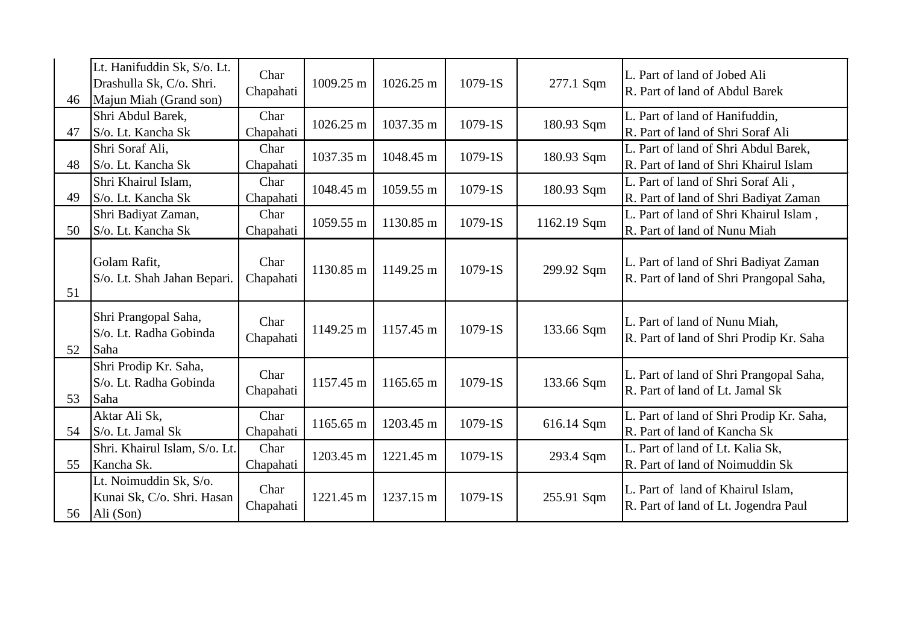| 46 | Lt. Hanifuddin Sk, S/o. Lt.<br>Drashulla Sk, C/o. Shri.<br>Majun Miah (Grand son) | Char<br>Chapahati | 1009.25 m | 1026.25 m | 1079-1S     | 277.1 Sqm   | L. Part of land of Jobed Ali<br>R. Part of land of Abdul Barek                   |
|----|-----------------------------------------------------------------------------------|-------------------|-----------|-----------|-------------|-------------|----------------------------------------------------------------------------------|
| 47 | Shri Abdul Barek,<br>S/o. Lt. Kancha Sk                                           | Char<br>Chapahati | 1026.25 m | 1037.35 m | $1079 - 1S$ | 180.93 Sqm  | L. Part of land of Hanifuddin,<br>R. Part of land of Shri Soraf Ali              |
| 48 | Shri Soraf Ali,<br>S/o. Lt. Kancha Sk                                             | Char<br>Chapahati | 1037.35 m | 1048.45 m | 1079-1S     | 180.93 Sqm  | L. Part of land of Shri Abdul Barek,<br>R. Part of land of Shri Khairul Islam    |
| 49 | Shri Khairul Islam,<br>S/o. Lt. Kancha Sk                                         | Char<br>Chapahati | 1048.45 m | 1059.55 m | 1079-1S     | 180.93 Sqm  | L. Part of land of Shri Soraf Ali,<br>R. Part of land of Shri Badiyat Zaman      |
| 50 | Shri Badiyat Zaman,<br>S/o. Lt. Kancha Sk                                         | Char<br>Chapahati | 1059.55 m | 1130.85 m | $1079 - 1S$ | 1162.19 Sqm | L. Part of land of Shri Khairul Islam,<br>R. Part of land of Nunu Miah           |
| 51 | Golam Rafit,<br>S/o. Lt. Shah Jahan Bepari.                                       | Char<br>Chapahati | 1130.85 m | 1149.25 m | 1079-1S     | 299.92 Sqm  | L. Part of land of Shri Badiyat Zaman<br>R. Part of land of Shri Prangopal Saha, |
| 52 | Shri Prangopal Saha,<br>S/o. Lt. Radha Gobinda<br>Saha                            | Char<br>Chapahati | 1149.25 m | 1157.45 m | 1079-1S     | 133.66 Sqm  | L. Part of land of Nunu Miah,<br>R. Part of land of Shri Prodip Kr. Saha         |
| 53 | Shri Prodip Kr. Saha,<br>S/o. Lt. Radha Gobinda<br>Saha                           | Char<br>Chapahati | 1157.45 m | 1165.65 m | 1079-1S     | 133.66 Sqm  | L. Part of land of Shri Prangopal Saha,<br>R. Part of land of Lt. Jamal Sk       |
| 54 | Aktar Ali Sk,<br>S/o. Lt. Jamal Sk                                                | Char<br>Chapahati | 1165.65 m | 1203.45 m | $1079 - 1S$ | 616.14 Sqm  | L. Part of land of Shri Prodip Kr. Saha,<br>R. Part of land of Kancha Sk         |
| 55 | Shri. Khairul Islam, S/o. Lt.<br>Kancha Sk.                                       | Char<br>Chapahati | 1203.45 m | 1221.45 m | 1079-1S     | 293.4 Sqm   | L. Part of land of Lt. Kalia Sk,<br>R. Part of land of Noimuddin Sk              |
| 56 | Lt. Noimuddin Sk, S/o.<br>Kunai Sk, C/o. Shri. Hasan<br>Ali (Son)                 | Char<br>Chapahati | 1221.45 m | 1237.15 m | $1079-1S$   | 255.91 Sqm  | L. Part of land of Khairul Islam,<br>R. Part of land of Lt. Jogendra Paul        |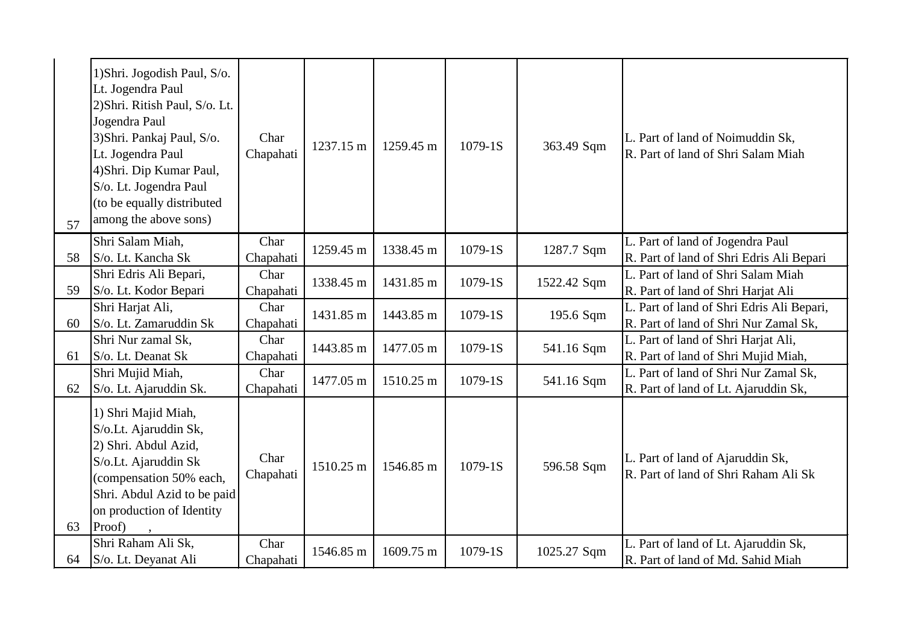| 57 | 1) Shri. Jogodish Paul, S/o.<br>Lt. Jogendra Paul<br>2) Shri. Ritish Paul, S/o. Lt.<br>Jogendra Paul<br>3) Shri. Pankaj Paul, S/o.<br>Lt. Jogendra Paul<br>4) Shri. Dip Kumar Paul,<br>S/o. Lt. Jogendra Paul<br>(to be equally distributed<br>among the above sons) | Char<br>Chapahati | 1237.15 m | 1259.45 m | $1079-1S$   | 363.49 Sqm  | L. Part of land of Noimuddin Sk,<br>R. Part of land of Shri Salam Miah             |
|----|----------------------------------------------------------------------------------------------------------------------------------------------------------------------------------------------------------------------------------------------------------------------|-------------------|-----------|-----------|-------------|-------------|------------------------------------------------------------------------------------|
| 58 | Shri Salam Miah,<br>S/o. Lt. Kancha Sk                                                                                                                                                                                                                               | Char<br>Chapahati | 1259.45 m | 1338.45 m | 1079-1S     | 1287.7 Sqm  | L. Part of land of Jogendra Paul<br>R. Part of land of Shri Edris Ali Bepari       |
| 59 | Shri Edris Ali Bepari,<br>S/o. Lt. Kodor Bepari                                                                                                                                                                                                                      | Char<br>Chapahati | 1338.45 m | 1431.85 m | 1079-1S     | 1522.42 Sqm | L. Part of land of Shri Salam Miah<br>R. Part of land of Shri Harjat Ali           |
| 60 | Shri Harjat Ali,<br>S/o. Lt. Zamaruddin Sk                                                                                                                                                                                                                           | Char<br>Chapahati | 1431.85 m | 1443.85 m | 1079-1S     | 195.6 Sqm   | L. Part of land of Shri Edris Ali Bepari,<br>R. Part of land of Shri Nur Zamal Sk, |
| 61 | Shri Nur zamal Sk,<br>S/o. Lt. Deanat Sk                                                                                                                                                                                                                             | Char<br>Chapahati | 1443.85 m | 1477.05 m | $1079 - 1S$ | 541.16 Sqm  | L. Part of land of Shri Harjat Ali,<br>R. Part of land of Shri Mujid Miah,         |
| 62 | Shri Mujid Miah,<br>S/o. Lt. Ajaruddin Sk.                                                                                                                                                                                                                           | Char<br>Chapahati | 1477.05 m | 1510.25 m | $1079-1S$   | 541.16 Sqm  | L. Part of land of Shri Nur Zamal Sk,<br>R. Part of land of Lt. Ajaruddin Sk,      |
| 63 | 1) Shri Majid Miah,<br>S/o.Lt. Ajaruddin Sk,<br>2) Shri. Abdul Azid,<br>S/o.Lt. Ajaruddin Sk<br>(compensation 50% each,<br>Shri. Abdul Azid to be paid<br>on production of Identity<br>Proof)                                                                        | Char<br>Chapahati | 1510.25 m | 1546.85 m | $1079-1S$   | 596.58 Sqm  | L. Part of land of Ajaruddin Sk,<br>R. Part of land of Shri Raham Ali Sk           |
| 64 | Shri Raham Ali Sk,<br>S/o. Lt. Deyanat Ali                                                                                                                                                                                                                           | Char<br>Chapahati | 1546.85 m | 1609.75 m | 1079-1S     | 1025.27 Sqm | L. Part of land of Lt. Ajaruddin Sk,<br>R. Part of land of Md. Sahid Miah          |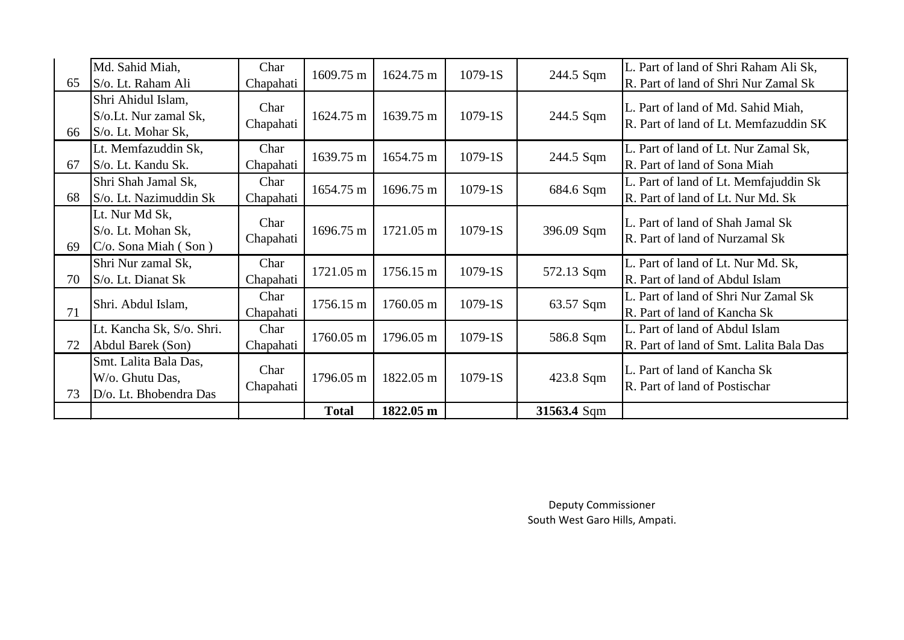| 65 | Md. Sahid Miah,<br>S/o. Lt. Raham Ali                              | Char<br>Chapahati | 1609.75 m    | 1624.75 m | $1079-1S$   | 244.5 Sqm   | L. Part of land of Shri Raham Ali Sk,<br>R. Part of land of Shri Nur Zamal Sk |
|----|--------------------------------------------------------------------|-------------------|--------------|-----------|-------------|-------------|-------------------------------------------------------------------------------|
| 66 | Shri Ahidul Islam,<br>S/o.Lt. Nur zamal Sk,<br>S/o. Lt. Mohar Sk,  | Char<br>Chapahati | 1624.75 m    | 1639.75 m | $1079-1S$   | 244.5 Sqm   | L. Part of land of Md. Sahid Miah,<br>R. Part of land of Lt. Memfazuddin SK   |
| 67 | Lt. Memfazuddin Sk,<br>S/o. Lt. Kandu Sk.                          | Char<br>Chapahati | 1639.75 m    | 1654.75 m | $1079-1S$   | 244.5 Sqm   | L. Part of land of Lt. Nur Zamal Sk,<br>R. Part of land of Sona Miah          |
| 68 | Shri Shah Jamal Sk,<br>S/o. Lt. Nazimuddin Sk                      | Char<br>Chapahati | 1654.75 m    | 1696.75 m | $1079 - 1S$ | 684.6 Sqm   | L. Part of land of Lt. Memfajuddin Sk<br>R. Part of land of Lt. Nur Md. Sk    |
| 69 | Lt. Nur Md Sk,<br>S/o. Lt. Mohan Sk,<br>$C/O$ . Sona Miah (Son)    | Char<br>Chapahati | 1696.75 m    | 1721.05 m | $1079-1S$   | 396.09 Sqm  | L. Part of land of Shah Jamal Sk<br>R. Part of land of Nurzamal Sk            |
| 70 | Shri Nur zamal Sk,<br>$\vert$ S/o. Lt. Dianat Sk                   | Char<br>Chapahati | 1721.05 m    | 1756.15 m | $1079-1S$   | 572.13 Sqm  | L. Part of land of Lt. Nur Md. Sk,<br>R. Part of land of Abdul Islam          |
| 71 | Shri. Abdul Islam,                                                 | Char<br>Chapahati | 1756.15 m    | 1760.05 m | $1079-1S$   | 63.57 Sqm   | L. Part of land of Shri Nur Zamal Sk<br>R. Part of land of Kancha Sk          |
| 72 | Lt. Kancha Sk, S/o. Shri.<br>Abdul Barek (Son)                     | Char<br>Chapahati | 1760.05 m    | 1796.05 m | $1079-1S$   | 586.8 Sqm   | L. Part of land of Abdul Islam<br>R. Part of land of Smt. Lalita Bala Das     |
| 73 | Smt. Lalita Bala Das,<br>W/o. Ghutu Das,<br>D/o. Lt. Bhobendra Das | Char<br>Chapahati | 1796.05 m    | 1822.05 m | $1079-1S$   | 423.8 Sqm   | L. Part of land of Kancha Sk<br>R. Part of land of Postischar                 |
|    |                                                                    |                   | <b>Total</b> | 1822.05 m |             | 31563.4 Sqm |                                                                               |

Deputy Commissioner South West Garo Hills, Ampati.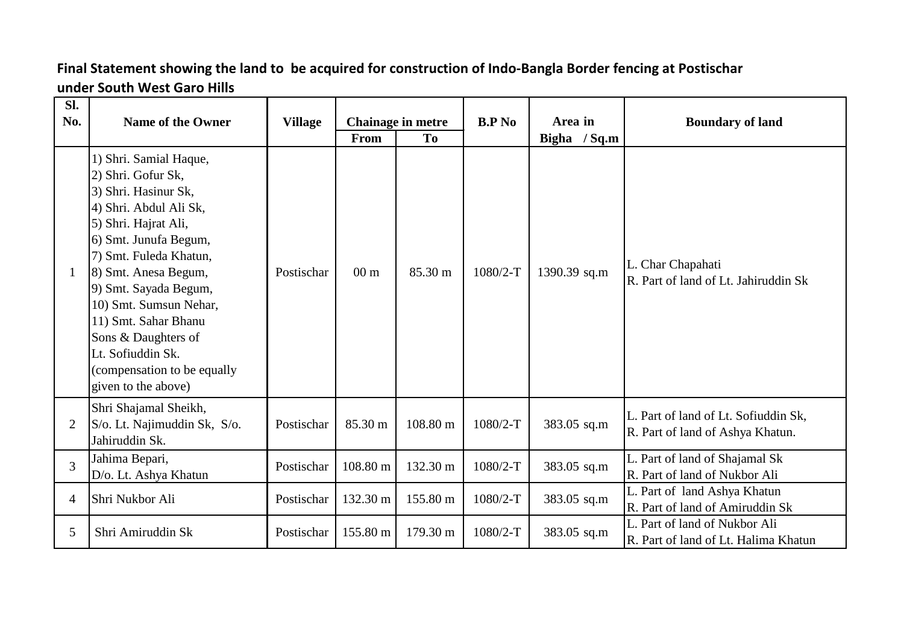## **Final Statement showing the land to be acquired for construction of Indo-Bangla Border fencing at Postischar under South West Garo Hills**

| Sl.<br>No.     | <b>Name of the Owner</b>                                                                                                                                                                                                                                                                                                                                                       | <b>Village</b> | From            | <b>Chainage in metre</b><br>To | B.P N <sub>0</sub> | Area in<br>Bigha / Sq.m | <b>Boundary of land</b>                                                  |
|----------------|--------------------------------------------------------------------------------------------------------------------------------------------------------------------------------------------------------------------------------------------------------------------------------------------------------------------------------------------------------------------------------|----------------|-----------------|--------------------------------|--------------------|-------------------------|--------------------------------------------------------------------------|
| -1             | 1) Shri. Samial Haque,<br>2) Shri. Gofur Sk,<br>3) Shri. Hasinur Sk,<br>4) Shri. Abdul Ali Sk,<br>5) Shri. Hajrat Ali,<br>6) Smt. Junufa Begum,<br>7) Smt. Fuleda Khatun,<br>8) Smt. Anesa Begum,<br>9) Smt. Sayada Begum,<br>10) Smt. Sumsun Nehar,<br>11) Smt. Sahar Bhanu<br>Sons & Daughters of<br>Lt. Sofiuddin Sk.<br>(compensation to be equally<br>given to the above) | Postischar     | 00 <sub>m</sub> | 85.30 m                        | 1080/2-T           | 1390.39 sq.m            | L. Char Chapahati<br>R. Part of land of Lt. Jahiruddin Sk                |
| $\overline{2}$ | Shri Shajamal Sheikh,<br>S/o. Lt. Najimuddin Sk, S/o.<br>Jahiruddin Sk.                                                                                                                                                                                                                                                                                                        | Postischar     | 85.30 m         | 108.80 m                       | $1080/2-T$         | 383.05 sq.m             | L. Part of land of Lt. Sofiuddin Sk,<br>R. Part of land of Ashya Khatun. |
| 3              | Jahima Bepari,<br>D/o. Lt. Ashya Khatun                                                                                                                                                                                                                                                                                                                                        | Postischar     | 108.80 m        | 132.30 m                       | $1080/2-T$         | 383.05 sq.m             | L. Part of land of Shajamal Sk<br>R. Part of land of Nukbor Ali          |
| $\overline{4}$ | Shri Nukbor Ali                                                                                                                                                                                                                                                                                                                                                                | Postischar     | 132.30 m        | 155.80 m                       | $1080/2-T$         | 383.05 sq.m             | L. Part of land Ashya Khatun<br>R. Part of land of Amiruddin Sk          |
| 5              | Shri Amiruddin Sk                                                                                                                                                                                                                                                                                                                                                              | Postischar     | 155.80 m        | 179.30 m                       | 1080/2-T           | 383.05 sq.m             | L. Part of land of Nukbor Ali<br>R. Part of land of Lt. Halima Khatun    |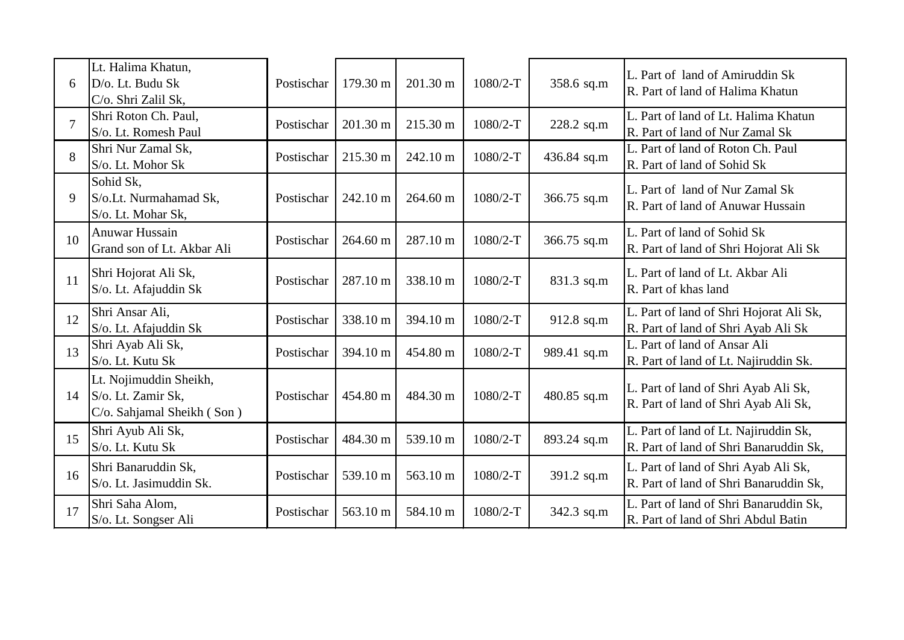| 6              | Lt. Halima Khatun,<br>D/o. Lt. Budu Sk<br>C/o. Shri Zalil Sk,              | Postischar | 179.30 m | 201.30 m | 1080/2-T   | 358.6 sq.m  | L. Part of land of Amiruddin Sk<br>R. Part of land of Halima Khatun             |
|----------------|----------------------------------------------------------------------------|------------|----------|----------|------------|-------------|---------------------------------------------------------------------------------|
| $\overline{7}$ | Shri Roton Ch. Paul,<br>S/o. Lt. Romesh Paul                               | Postischar | 201.30 m | 215.30 m | 1080/2-T   | 228.2 sq.m  | L. Part of land of Lt. Halima Khatun<br>R. Part of land of Nur Zamal Sk         |
| 8              | Shri Nur Zamal Sk,<br>S/o. Lt. Mohor Sk                                    | Postischar | 215.30 m | 242.10 m | 1080/2-T   | 436.84 sq.m | L. Part of land of Roton Ch. Paul<br>R. Part of land of Sohid Sk                |
| 9              | Sohid Sk,<br>S/o.Lt. Nurmahamad Sk,<br>S/o. Lt. Mohar Sk,                  | Postischar | 242.10 m | 264.60 m | 1080/2-T   | 366.75 sq.m | L. Part of land of Nur Zamal Sk<br>R. Part of land of Anuwar Hussain            |
| 10             | Anuwar Hussain<br>Grand son of Lt. Akbar Ali                               | Postischar | 264.60 m | 287.10 m | $1080/2-T$ | 366.75 sq.m | L. Part of land of Sohid Sk<br>R. Part of land of Shri Hojorat Ali Sk           |
| 11             | Shri Hojorat Ali Sk,<br>S/o. Lt. Afajuddin Sk                              | Postischar | 287.10 m | 338.10 m | 1080/2-T   | 831.3 sq.m  | L. Part of land of Lt. Akbar Ali<br>R. Part of khas land                        |
| 12             | Shri Ansar Ali,<br>S/o. Lt. Afajuddin Sk                                   | Postischar | 338.10 m | 394.10 m | 1080/2-T   | 912.8 sq.m  | L. Part of land of Shri Hojorat Ali Sk,<br>R. Part of land of Shri Ayab Ali Sk  |
| 13             | Shri Ayab Ali Sk,<br>S/o. Lt. Kutu Sk                                      | Postischar | 394.10 m | 454.80 m | 1080/2-T   | 989.41 sq.m | L. Part of land of Ansar Ali<br>R. Part of land of Lt. Najiruddin Sk.           |
| 14             | Lt. Nojimuddin Sheikh,<br>S/o. Lt. Zamir Sk,<br>C/o. Sahjamal Sheikh (Son) | Postischar | 454.80 m | 484.30 m | 1080/2-T   | 480.85 sq.m | L. Part of land of Shri Ayab Ali Sk,<br>R. Part of land of Shri Ayab Ali Sk,    |
| 15             | Shri Ayub Ali Sk,<br>S/o. Lt. Kutu Sk                                      | Postischar | 484.30 m | 539.10 m | 1080/2-T   | 893.24 sq.m | L. Part of land of Lt. Najiruddin Sk,<br>R. Part of land of Shri Banaruddin Sk, |
| 16             | Shri Banaruddin Sk,<br>S/o. Lt. Jasimuddin Sk.                             | Postischar | 539.10 m | 563.10 m | 1080/2-T   | 391.2 sq.m  | L. Part of land of Shri Ayab Ali Sk,<br>R. Part of land of Shri Banaruddin Sk,  |
| 17             | Shri Saha Alom,<br>S/o. Lt. Songser Ali                                    | Postischar | 563.10 m | 584.10 m | 1080/2-T   | 342.3 sq.m  | L. Part of land of Shri Banaruddin Sk,<br>R. Part of land of Shri Abdul Batin   |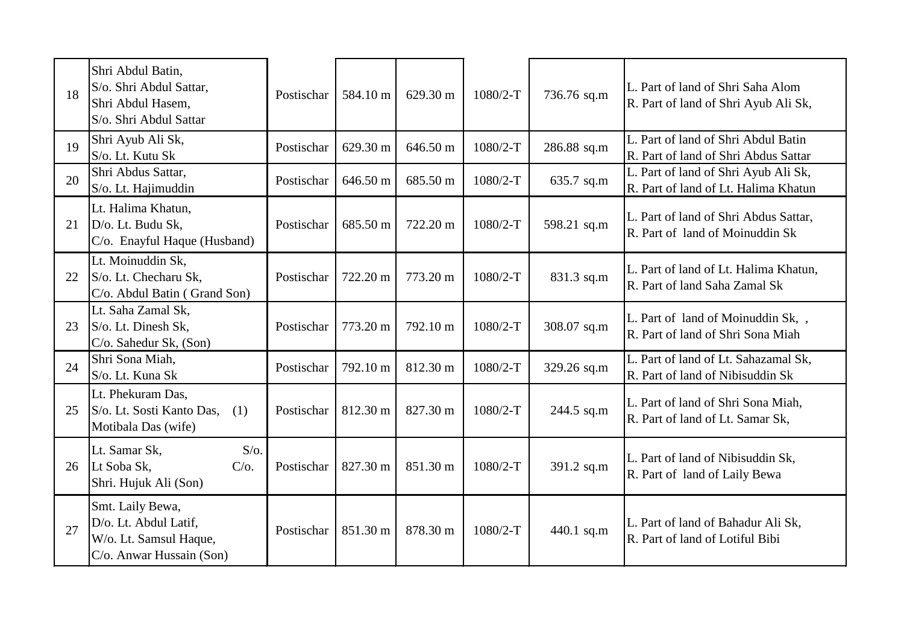| 18 | Shri Abdul Batin,<br>S/o. Shri Abdul Sattar,<br>Shri Abdul Hasem,<br>S/o. Shri Abdul Sattar     | Postischar | 584.10 m | 629.30 m | $1080/2-T$ | 736.76 sq.m | L. Part of land of Shri Saha Alom<br>R. Part of land of Shri Ayub Ali Sk,    |
|----|-------------------------------------------------------------------------------------------------|------------|----------|----------|------------|-------------|------------------------------------------------------------------------------|
| 19 | Shri Ayub Ali Sk,<br>S/o. Lt. Kutu Sk                                                           | Postischar | 629.30 m | 646.50 m | $1080/2-T$ | 286.88 sq.m | L. Part of land of Shri Abdul Batin<br>R. Part of land of Shri Abdus Sattar  |
| 20 | Shri Abdus Sattar,<br>S/o. Lt. Hajimuddin                                                       | Postischar | 646.50 m | 685.50 m | $1080/2-T$ | 635.7 sq.m  | L. Part of land of Shri Ayub Ali Sk,<br>R. Part of land of Lt. Halima Khatun |
| 21 | Lt. Halima Khatun,<br>D/o. Lt. Budu Sk,<br>C/o. Enayful Haque (Husband)                         | Postischar | 685.50 m | 722.20 m | $1080/2-T$ | 598.21 sq.m | L. Part of land of Shri Abdus Sattar,<br>R. Part of land of Moinuddin Sk     |
| 22 | Lt. Moinuddin Sk,<br>S/o. Lt. Checharu Sk,<br>C/o. Abdul Batin (Grand Son)                      | Postischar | 722.20 m | 773.20 m | 1080/2-T   | 831.3 sq.m  | L. Part of land of Lt. Halima Khatun,<br>R. Part of land Saha Zamal Sk       |
| 23 | Lt. Saha Zamal Sk,<br>S/o. Lt. Dinesh Sk,<br>C/o. Sahedur Sk, (Son)                             | Postischar | 773.20 m | 792.10 m | 1080/2-T   | 308.07 sq.m | L. Part of land of Moinuddin Sk,<br>R. Part of land of Shri Sona Miah        |
| 24 | Shri Sona Miah,<br>S/o. Lt. Kuna Sk                                                             | Postischar | 792.10 m | 812.30 m | 1080/2-T   | 329.26 sq.m | L. Part of land of Lt. Sahazamal Sk,<br>R. Part of land of Nibisuddin Sk     |
| 25 | Lt. Phekuram Das,<br>S/o. Lt. Sosti Kanto Das,<br>(1)<br>Motibala Das (wife)                    | Postischar | 812.30 m | 827.30 m | $1080/2-T$ | 244.5 sq.m  | L. Part of land of Shri Sona Miah,<br>R. Part of land of Lt. Samar Sk,       |
| 26 | $S/O$ .<br>Lt. Samar Sk,<br>Lt Soba Sk,<br>$C/O$ .<br>Shri. Hujuk Ali (Son)                     | Postischar | 827.30 m | 851.30 m | 1080/2-T   | 391.2 sq.m  | L. Part of land of Nibisuddin Sk,<br>R. Part of land of Laily Bewa           |
| 27 | Smt. Laily Bewa,<br>D/o. Lt. Abdul Latif,<br>W/o. Lt. Samsul Haque,<br>C/o. Anwar Hussain (Son) | Postischar | 851.30 m | 878.30 m | $1080/2-T$ | 440.1 sq.m  | L. Part of land of Bahadur Ali Sk,<br>R. Part of land of Lotiful Bibi        |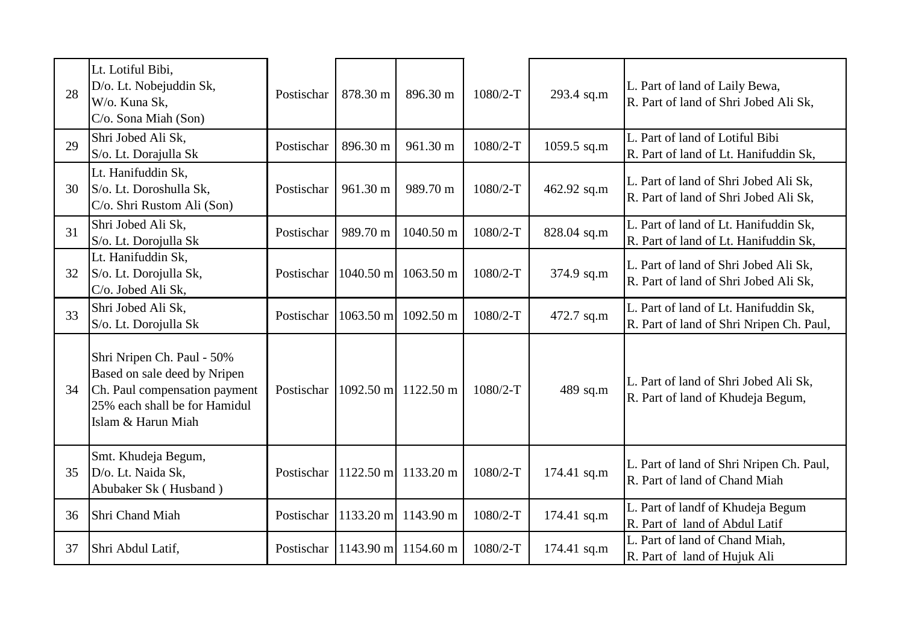| 28 | Lt. Lotiful Bibi,<br>D/o. Lt. Nobejuddin Sk,<br>W/o. Kuna Sk,<br>$C/O$ . Sona Miah (Son)                                                           | Postischar | 878.30 m            | 896.30 m                       | $1080/2-T$ | 293.4 sq.m  | L. Part of land of Laily Bewa,<br>R. Part of land of Shri Jobed Ali Sk,           |
|----|----------------------------------------------------------------------------------------------------------------------------------------------------|------------|---------------------|--------------------------------|------------|-------------|-----------------------------------------------------------------------------------|
| 29 | Shri Jobed Ali Sk,<br>S/o. Lt. Dorajulla Sk                                                                                                        | Postischar | 896.30 m            | 961.30 m                       | $1080/2-T$ | 1059.5 sq.m | L. Part of land of Lotiful Bibi<br>R. Part of land of Lt. Hanifuddin Sk,          |
| 30 | Lt. Hanifuddin Sk,<br>S/o. Lt. Doroshulla Sk,<br>C/o. Shri Rustom Ali (Son)                                                                        | Postischar | 961.30 m            | 989.70 m                       | 1080/2-T   | 462.92 sq.m | L. Part of land of Shri Jobed Ali Sk,<br>R. Part of land of Shri Jobed Ali Sk,    |
| 31 | Shri Jobed Ali Sk,<br>S/o. Lt. Dorojulla Sk                                                                                                        | Postischar | 989.70 m            | 1040.50 m                      | $1080/2-T$ | 828.04 sq.m | L. Part of land of Lt. Hanifuddin Sk,<br>R. Part of land of Lt. Hanifuddin Sk,    |
| 32 | Lt. Hanifuddin Sk,<br>S/o. Lt. Dorojulla Sk,<br>C/o. Jobed Ali Sk,                                                                                 | Postischar | $1040.50$ m         | 1063.50 m                      | $1080/2-T$ | 374.9 sq.m  | L. Part of land of Shri Jobed Ali Sk,<br>R. Part of land of Shri Jobed Ali Sk,    |
| 33 | Shri Jobed Ali Sk,<br>S/o. Lt. Dorojulla Sk                                                                                                        | Postischar | $1063.50 \text{ m}$ | $1092.50 \text{ m}$            | $1080/2-T$ | 472.7 sq.m  | L. Part of land of Lt. Hanifuddin Sk,<br>R. Part of land of Shri Nripen Ch. Paul, |
| 34 | Shri Nripen Ch. Paul - 50%<br>Based on sale deed by Nripen<br>Ch. Paul compensation payment<br>25% each shall be for Hamidul<br>Islam & Harun Miah | Postischar |                     | $1092.50 \text{ m}$ 1122.50 m  | 1080/2-T   | 489 sq.m    | L. Part of land of Shri Jobed Ali Sk,<br>R. Part of land of Khudeja Begum,        |
| 35 | Smt. Khudeja Begum,<br>D/o. Lt. Naida Sk,<br>Abubaker Sk (Husband)                                                                                 |            |                     | Postischar 1122.50 m 1133.20 m | $1080/2-T$ | 174.41 sq.m | L. Part of land of Shri Nripen Ch. Paul,<br>R. Part of land of Chand Miah         |
| 36 | Shri Chand Miah                                                                                                                                    | Postischar | 1133.20 m           | 1143.90 m                      | 1080/2-T   | 174.41 sq.m | L. Part of landf of Khudeja Begum<br>R. Part of land of Abdul Latif               |
| 37 | Shri Abdul Latif,                                                                                                                                  | Postischar |                     | $1143.90 \text{ m}$ 1154.60 m  | 1080/2-T   | 174.41 sq.m | L. Part of land of Chand Miah,<br>R. Part of land of Hujuk Ali                    |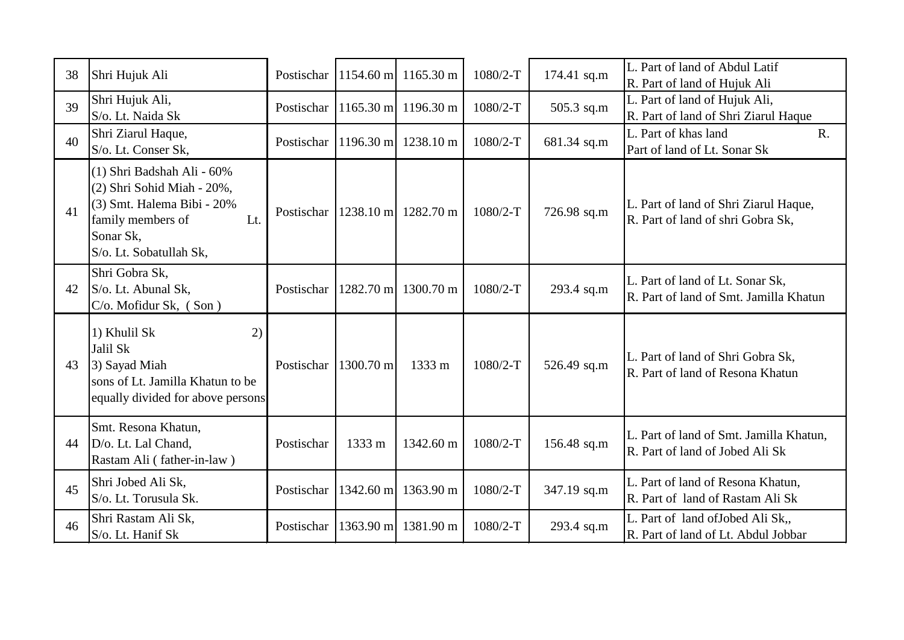| 38 | Shri Hujuk Ali                                                                                                                                             | Postischar |                     | $1154.60 \text{ m}$ 1165.30 m | $1080/2-T$ | 174.41 sq.m | L. Part of land of Abdul Latif<br>R. Part of land of Hujuk Ali             |
|----|------------------------------------------------------------------------------------------------------------------------------------------------------------|------------|---------------------|-------------------------------|------------|-------------|----------------------------------------------------------------------------|
| 39 | Shri Hujuk Ali,<br>S/o. Lt. Naida Sk                                                                                                                       | Postischar |                     | 1165.30 ml 1196.30 m          | $1080/2-T$ | 505.3 sq.m  | L. Part of land of Hujuk Ali,<br>R. Part of land of Shri Ziarul Haque      |
| 40 | Shri Ziarul Haque,<br>S/o. Lt. Conser Sk,                                                                                                                  | Postischar |                     | $1196.30$ m $1238.10$ m       | 1080/2-T   | 681.34 sq.m | L. Part of khas land<br>R.<br>Part of land of Lt. Sonar Sk                 |
| 41 | (1) Shri Badshah Ali - 60%<br>(2) Shri Sohid Miah - 20%,<br>(3) Smt. Halema Bibi - 20%<br>family members of<br>Lt.<br>Sonar Sk,<br>S/o. Lt. Sobatullah Sk, | Postischar |                     | 1238.10 ml 1282.70 m          | $1080/2-T$ | 726.98 sq.m | L. Part of land of Shri Ziarul Haque,<br>R. Part of land of shri Gobra Sk, |
| 42 | Shri Gobra Sk,<br>S/o. Lt. Abunal Sk,<br>C/o. Mofidur Sk, (Son)                                                                                            | Postischar |                     | 1282.70 ml 1300.70 m          | $1080/2-T$ | 293.4 sq.m  | L. Part of land of Lt. Sonar Sk,<br>R. Part of land of Smt. Jamilla Khatun |
| 43 | 1) Khulil Sk<br>2)<br>Jalil Sk<br>3) Sayad Miah<br>sons of Lt. Jamilla Khatun to be<br>equally divided for above persons                                   | Postischar | $1300.70 \text{ m}$ | 1333 m                        | $1080/2-T$ | 526.49 sq.m | L. Part of land of Shri Gobra Sk,<br>R. Part of land of Resona Khatun      |
| 44 | Smt. Resona Khatun,<br>D/o. Lt. Lal Chand,<br>Rastam Ali (father-in-law)                                                                                   | Postischar | 1333 m              | 1342.60 m                     | $1080/2-T$ | 156.48 sq.m | L. Part of land of Smt. Jamilla Khatun,<br>R. Part of land of Jobed Ali Sk |
| 45 | Shri Jobed Ali Sk,<br>S/o. Lt. Torusula Sk.                                                                                                                | Postischar | $1342.60$ m         | 1363.90 m                     | 1080/2-T   | 347.19 sq.m | L. Part of land of Resona Khatun,<br>R. Part of land of Rastam Ali Sk      |
| 46 | Shri Rastam Ali Sk,<br>S/o. Lt. Hanif Sk                                                                                                                   | Postischar | 1363.90 m           | 1381.90 m                     | $1080/2-T$ | 293.4 sq.m  | L. Part of land of Jobed Ali Sk,,<br>R. Part of land of Lt. Abdul Jobbar   |